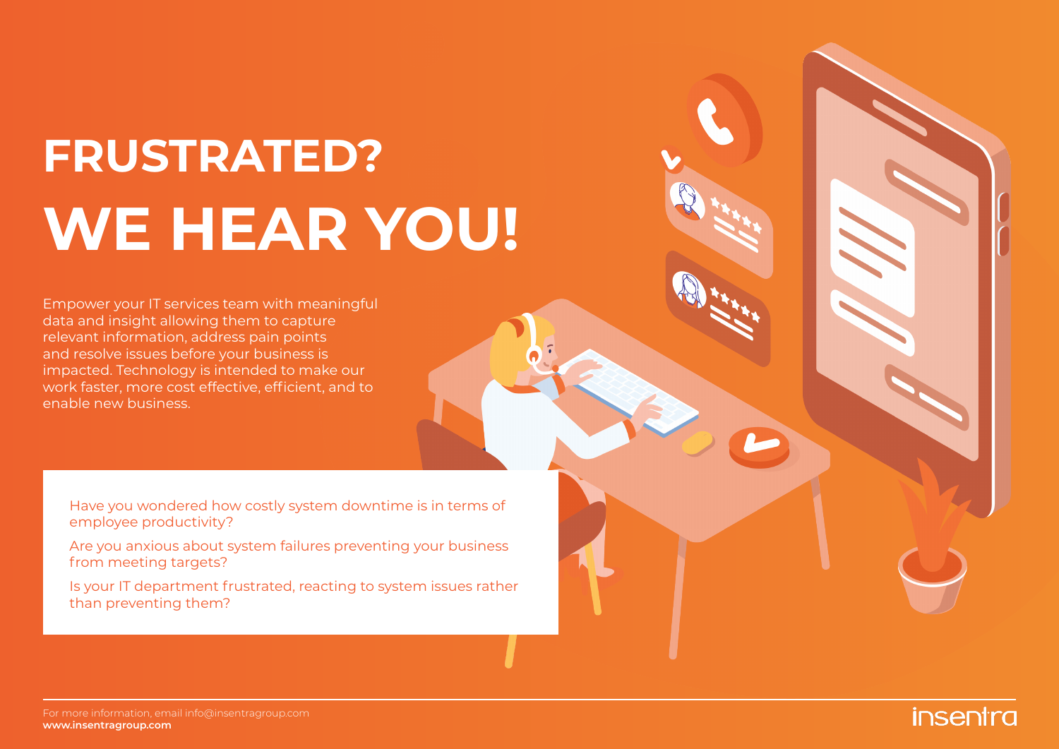# **FRUSTRATED? WE HEAR YOU!**

Empower your IT services team with meaningful data and insight allowing them to capture relevant information, address pain points and resolve issues before your business is impacted. Technology is intended to make our work faster, more cost effective, efficient, and to enable new business.

Have you wondered how costly system downtime is in terms of employee productivity?

Are you anxious about system failures preventing your business from meeting targets?

Is your IT department frustrated, reacting to system issues rather than preventing them?

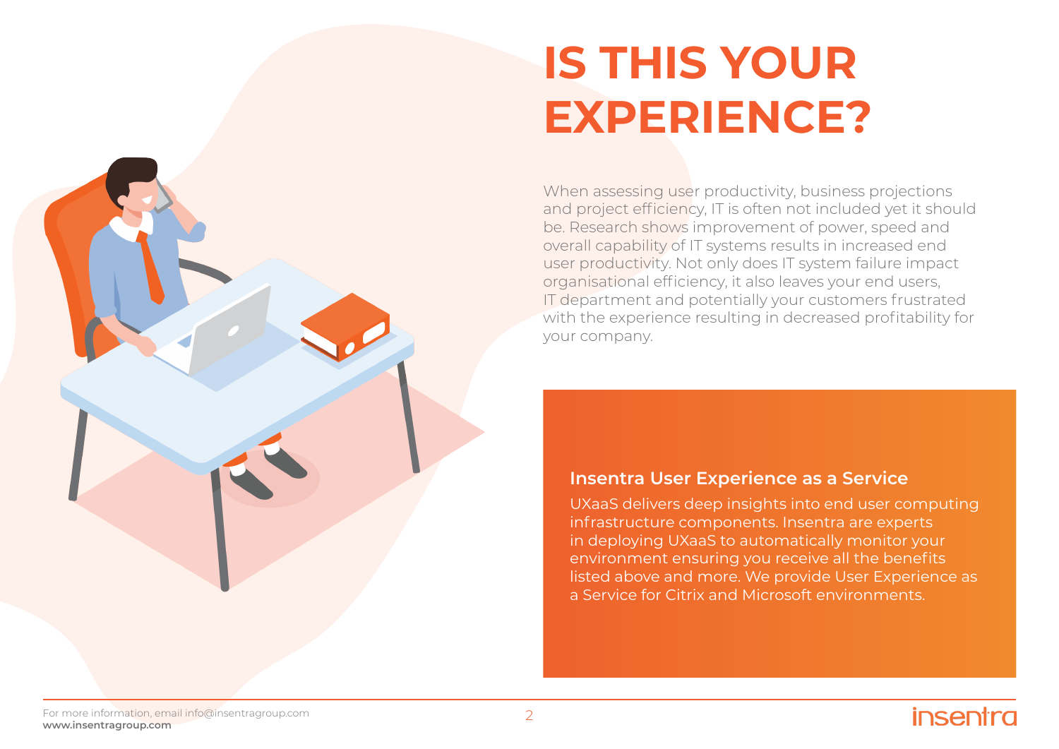## **IS THIS YOUR EXPERIENCE?**

When assessing user productivity, business projections and project efficiency, IT is often not included yet it should be. Research shows improvement of power, speed and overall capability of IT systems results in increased end user productivity. Not only does IT system failure impact organisational efficiency, it also leaves your end users, IT department and potentially your customers frustrated with the experience resulting in decreased profitability for your company.

#### **Insentra User Experience as a Service**

UXaaS delivers deep insights into end user computing infrastructure components. Insentra are experts in deploying UXaaS to automatically monitor your environment ensuring you receive all the benefits listed above and more. We provide User Experience as a Service for Citrix and Microsoft environments.

### insentra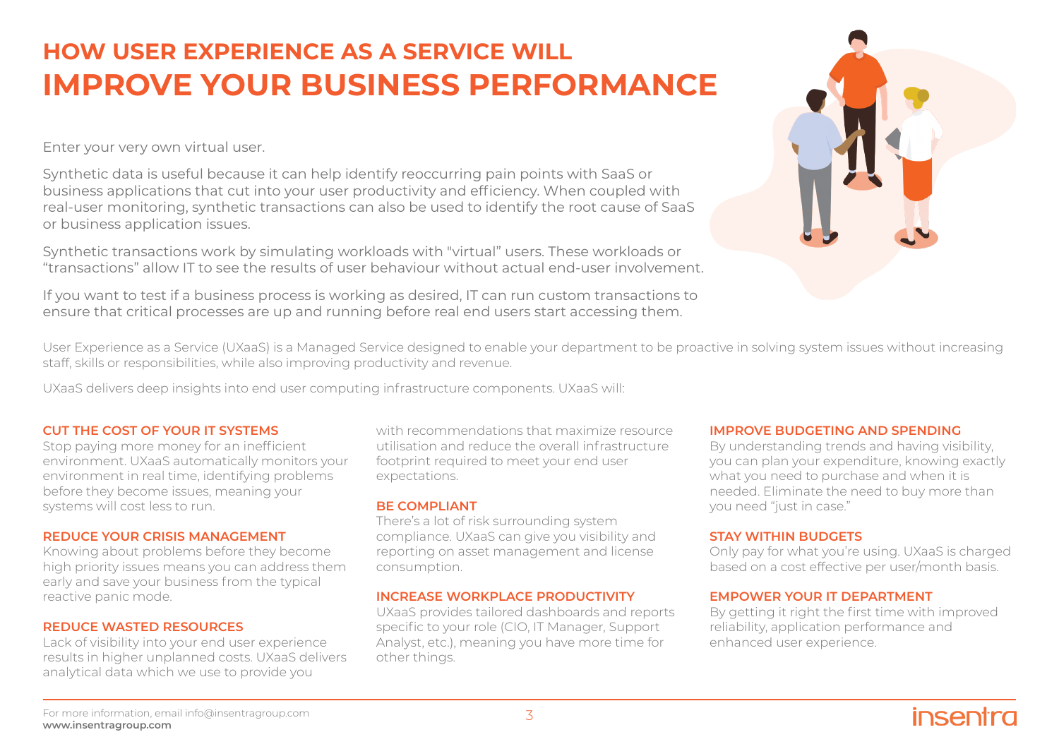## **HOW USER EXPERIENCE AS A SERVICE WILL IMPROVE YOUR BUSINESS PERFORMANCE**

Enter your very own virtual user.

Synthetic data is useful because it can help identify reoccurring pain points with SaaS or business applications that cut into your user productivity and efficiency. When coupled with real-user monitoring, synthetic transactions can also be used to identify the root cause of SaaS or business application issues.

Synthetic transactions work by simulating workloads with "virtual" users. These workloads or "transactions" allow IT to see the results of user behaviour without actual end-user involvement.

If you want to test if a business process is working as desired, IT can run custom transactions to ensure that critical processes are up and running before real end users start accessing them.



User Experience as a Service (UXaaS) is a Managed Service designed to enable your department to be proactive in solving system issues without increasing staff, skills or responsibilities, while also improving productivity and revenue.

UXaaS delivers deep insights into end user computing infrastructure components. UXaaS will:

#### **CUT THE COST OF YOUR IT SYSTEMS**

Stop paying more money for an inefficient environment. UXaaS automatically monitors your environment in real time, identifying problems before they become issues, meaning your systems will cost less to run.

#### **REDUCE YOUR CRISIS MANAGEMENT**

Knowing about problems before they become high priority issues means you can address them early and save your business from the typical reactive panic mode.

#### **REDUCE WASTED RESOURCES**

Lack of visibility into your end user experience results in higher unplanned costs. UXaaS delivers analytical data which we use to provide you

with recommendations that maximize resource utilisation and reduce the overall infrastructure footprint required to meet your end user expectations.

#### **BE COMPLIANT**

There's a lot of risk surrounding system compliance. UXaaS can give you visibility and reporting on asset management and license consumption.

#### **INCREASE WORKPLACE PRODUCTIVITY**

UXaaS provides tailored dashboards and reports specific to your role (CIO, IT Manager, Support Analyst, etc.), meaning you have more time for other things.

#### **IMPROVE BUDGETING AND SPENDING**

By understanding trends and having visibility, you can plan your expenditure, knowing exactly what you need to purchase and when it is needed. Eliminate the need to buy more than you need "just in case."

#### **STAY WITHIN BUDGETS**

Only pay for what you're using. UXaaS is charged based on a cost effective per user/month basis.

#### **EMPOWER YOUR IT DEPARTMENT**

By getting it right the first time with improved reliability, application performance and enhanced user experience.